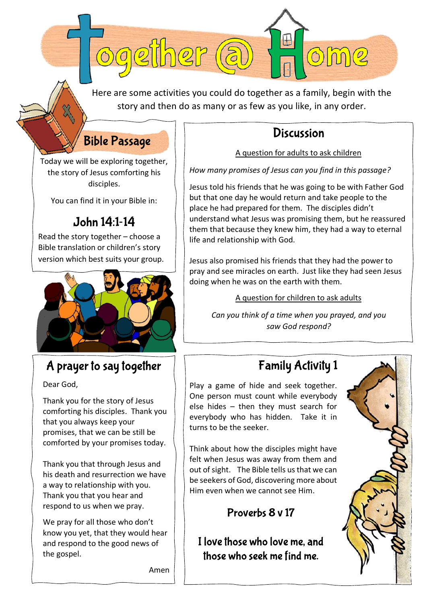Here are some activities you could do together as a family, begin with the story and then do as many or as few as you like, in any order.

#### **Bible Passage**

ogether (a

Today we will be exploring together, the story of Jesus comforting his disciples.

You can find it in your Bible in:

#### John 14:1-14

Read the story together – choose a Bible translation or children's story version which best suits your group.



### A prayer to say together

Dear God,

Thank you for the story of Jesus comforting his disciples. Thank you that you always keep your promises, that we can be still be comforted by your promises today.

Thank you that through Jesus and his death and resurrection we have a way to relationship with you. Thank you that you hear and respond to us when we pray.

We pray for all those who don't know you yet, that they would hear and respond to the good news of the gospel.

**Discussion** A question for adults to ask children

me

*How many promises of Jesus can you find in this passage?*

 $\begin{matrix} \Box \end{matrix}$ 

Jesus told his friends that he was going to be with Father God but that one day he would return and take people to the place he had prepared for them. The disciples didn't understand what Jesus was promising them, but he reassured them that because they knew him, they had a way to eternal life and relationship with God.

Jesus also promised his friends that they had the power to pray and see miracles on earth. Just like they had seen Jesus doing when he was on the earth with them.

A question for children to ask adults

*Can you think of a time when you prayed, and you saw God respond?*

## **Family Activity 1**

Play a game of hide and seek together. One person must count while everybody else hides – then they must search for everybody who has hidden. Take it in turns to be the seeker.

Think about how the disciples might have felt when Jesus was away from them and out of sight. The Bible tells us that we can be seekers of God, discovering more about Him even when we cannot see Him.

#### Proverbs 8 v 17

I love those who love me, and those who seek me find me.



Amen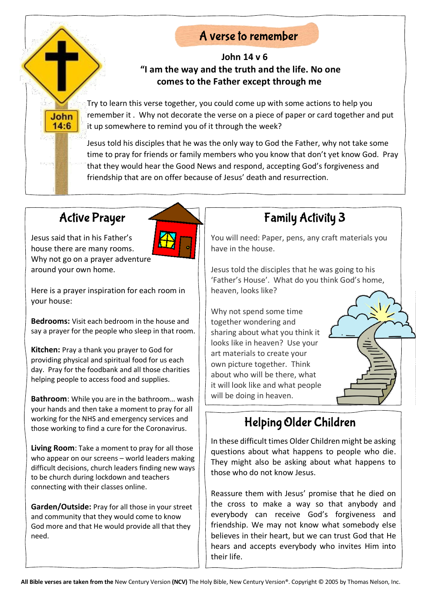#### A verse to remember

#### **John 14 v 6 "I am the way and the truth and the life. No one comes to the Father except through me**

Try to learn this verse together, you could come up with some actions to help you remember it . Why not decorate the verse on a piece of paper or card together and put it up somewhere to remind you of it through the week?

Jesus told his disciples that he was the only way to God the Father, why not take some time to pray for friends or family members who you know that don't yet know God. Pray that they would hear the Good News and respond, accepting God's forgiveness and friendship that are on offer because of Jesus' death and resurrection.

# **Active Prayer**

**John**  $14:6$ 

Jesus said that in his Father's house there are many rooms. Why not go on a prayer adventure around your own home.

Here is a prayer inspiration for each room in your house:

**Bedrooms:** Visit each bedroom in the house and say a prayer for the people who sleep in that room.

**Kitchen:** Pray a thank you prayer to God for providing physical and spiritual food for us each day.Pray for the foodbank and all those charities helping people to access food and supplies.

**Bathroom**: While you are in the bathroom… wash your hands and then take a moment to pray for all working for the NHS and emergency services and those working to find a cure for the Coronavirus.

**Living Room**: Take a moment to pray for all those who appear on our screens – world leaders making difficult decisions, church leaders finding new ways to be church during lockdown and teachers connecting with their classes online.

**Garden/Outside:** Pray for all those in your street and community that they would come to know God more and that He would provide all that they need.

# **Family Activity 3**

You will need: Paper, pens, any craft materials you have in the house.

Jesus told the disciples that he was going to his 'Father's House'. What do you think God's home, heaven, looks like?

Why not spend some time together wondering and sharing about what you think it looks like in heaven? Use your art materials to create your own picture together. Think about who will be there, what it will look like and what people will be doing in heaven.



In these difficult times Older Children might be asking questions about what happens to people who die. They might also be asking about what happens to those who do not know Jesus.

Reassure them with Jesus' promise that he died on the cross to make a way so that anybody and everybody can receive God's forgiveness and friendship. We may not know what somebody else believes in their heart, but we can trust God that He hears and accepts everybody who invites Him into their life.

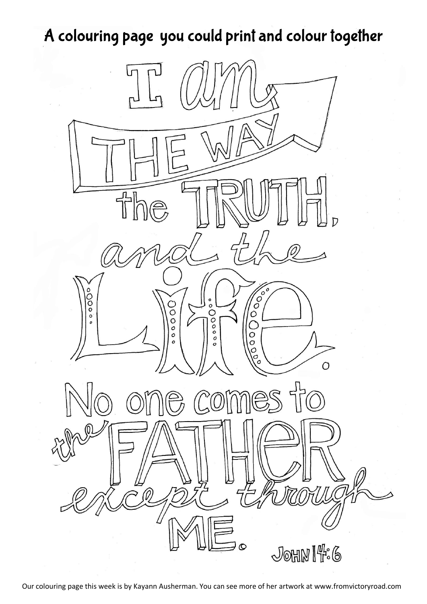# A colouring page you could print and colour together